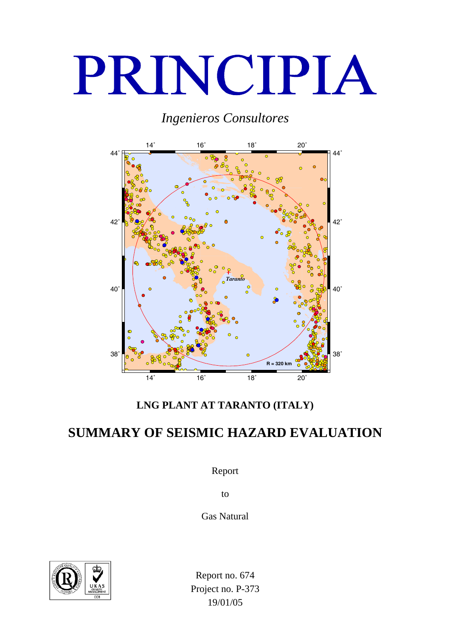# PRINCIPIA

# *Ingenieros Consultores*



<span id="page-0-0"></span>**LNG PLANT AT TARANTO (ITALY)** 

# **SUMMARY OF SEISMIC HAZARD EVALUATION**

Report

to

<span id="page-0-1"></span>Gas Natural



<span id="page-0-4"></span><span id="page-0-3"></span><span id="page-0-2"></span>Report no. 674 Project no. P-373 19/01/05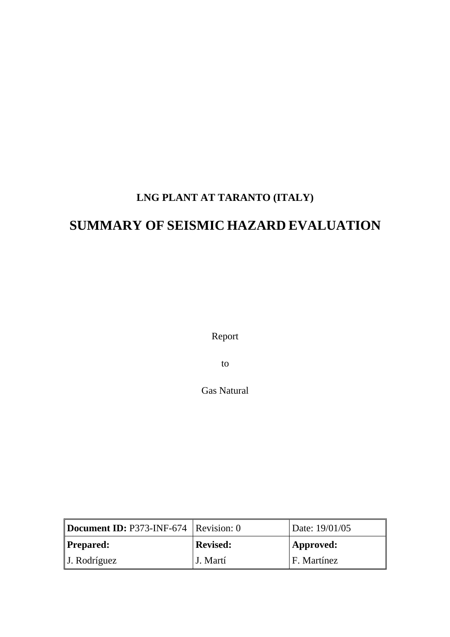# **[LNG PLANT AT TARANTO \(ITALY\)](#page-0-0)**

# **[SUMMARY OF](#page-0-0) SEISMIC HAZARD EVALUATION**

Report

to

[Gas Natural](#page-0-1) 

| Document ID: P373-INF-674   Revision: 0 |                              | Date: 19/01/05 |
|-----------------------------------------|------------------------------|----------------|
| Prepared:                               | <b>Revised:</b><br>Approved: |                |
| $\vert$ J. Rodríguez                    | J. Martí                     | F. Martínez    |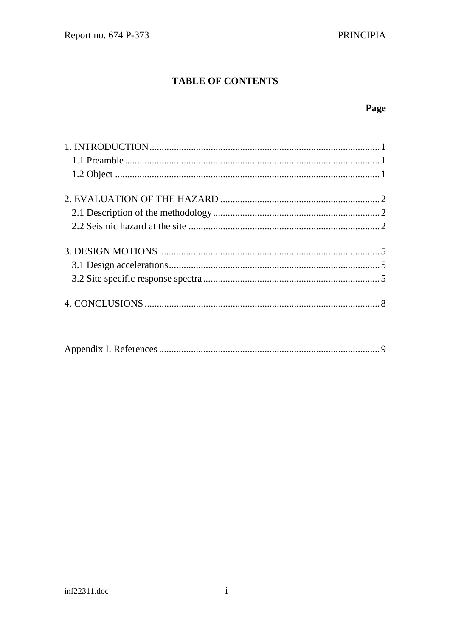## **TABLE OF CONTENTS**

## Page

|--|--|--|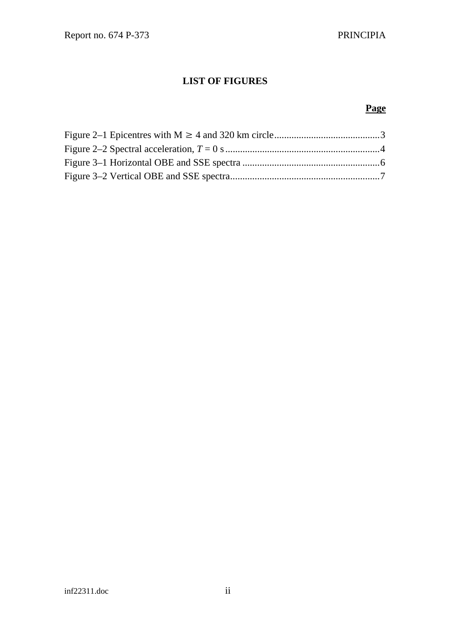## **LIST OF FIGURES**

#### *Page*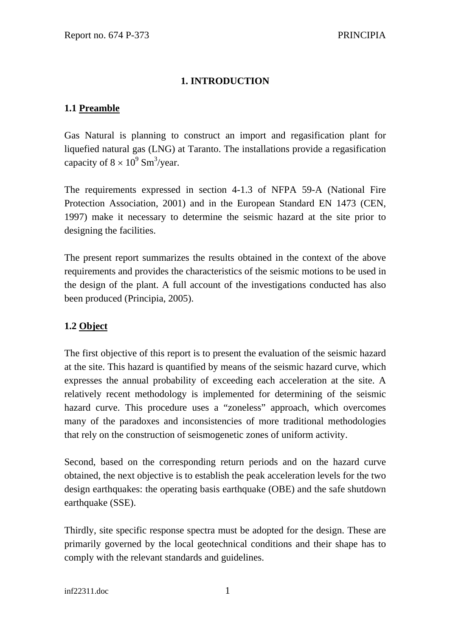## **1. INTRODUCTION**

#### <span id="page-4-0"></span>**1.1 Preamble**

Gas Natural is planning to construct an import and regasification plant for liquefied natural gas (LNG) at Taranto. The installations provide a regasification capacity of  $8 \times 10^9$  Sm<sup>3</sup>/year.

The requirements expressed in section 4-1.3 of NFPA 59-A (National Fire Protection Association, 2001) and in the European Standard EN 1473 (CEN, 1997) make it necessary to determine the seismic hazard at the site prior to designing the facilities.

The present report summarizes the results obtained in the context of the above requirements and provides the characteristics of the seismic motions to be used in the design of the plant. A full account of the investigations conducted has also been produced (Principia, 2005).

## **1.2 Object**

The first objective of this report is to present the evaluation of the seismic hazard at the site. This hazard is quantified by means of the seismic hazard curve, which expresses the annual probability of exceeding each acceleration at the site. A relatively recent methodology is implemented for determining of the seismic hazard curve. This procedure uses a "zoneless" approach, which overcomes many of the paradoxes and inconsistencies of more traditional methodologies that rely on the construction of seismogenetic zones of uniform activity.

Second, based on the corresponding return periods and on the hazard curve obtained, the next objective is to establish the peak acceleration levels for the two design earthquakes: the operating basis earthquake (OBE) and the safe shutdown earthquake (SSE).

Thirdly, site specific response spectra must be adopted for the design. These are primarily governed by the local geotechnical conditions and their shape has to comply with the relevant standards and guidelines.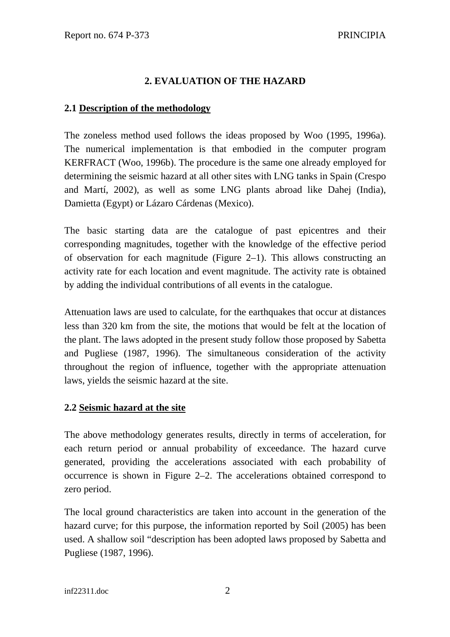#### **2. EVALUATION OF THE HAZARD**

#### <span id="page-5-0"></span>**2.1 Description of the methodology**

The zoneless method used follows the ideas proposed by Woo (1995, 1996a). The numerical implementation is that embodied in the computer program KERFRACT (Woo, 1996b). The procedure is the same one already employed for determining the seismic hazard at all other sites with LNG tanks in Spain (Crespo and Martí, 2002), as well as some LNG plants abroad like Dahej (India), Damietta (Egypt) or Lázaro Cárdenas (Mexico).

The basic starting data are the catalogue of past epicentres and their corresponding magnitudes, together with the knowledge of the effective period of observation for each magnitude [\(Figure 2–1\)](#page-6-1). This allows constructing an activity rate for each location and event magnitude. The activity rate is obtained by adding the individual contributions of all events in the catalogue.

Attenuation laws are used to calculate, for the earthquakes that occur at distances less than 320 km from the site, the motions that would be felt at the location of the plant. The laws adopted in the present study follow those proposed by Sabetta and Pugliese (1987, 1996). The simultaneous consideration of the activity throughout the region of influence, together with the appropriate attenuation laws, yields the seismic hazard at the site.

#### **2.2 Seismic hazard at the site**

The above methodology generates results, directly in terms of acceleration, for each return period or annual probability of exceedance. The hazard curve generated, providing the accelerations associated with each probability of occurrence is shown in [Figure 2–2.](#page-7-1) The accelerations obtained correspond to zero period.

The local ground characteristics are taken into account in the generation of the hazard curve; for this purpose, the information reported by Soil (2005) has been used. A shallow soil "description has been adopted laws proposed by Sabetta and Pugliese (1987, 1996).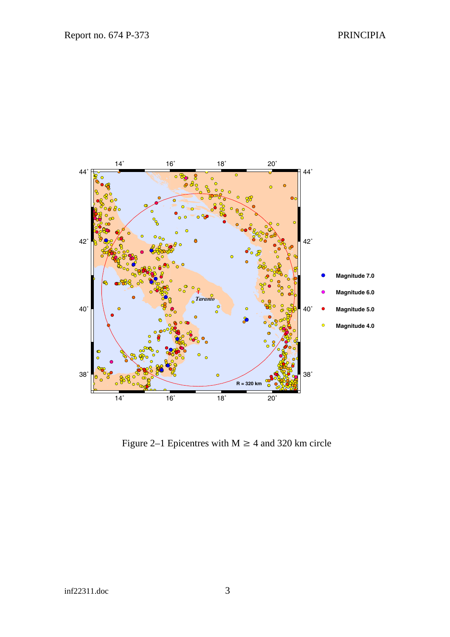<span id="page-6-0"></span>

<span id="page-6-1"></span>Figure 2–1 Epicentres with  $M \ge 4$  and 320 km circle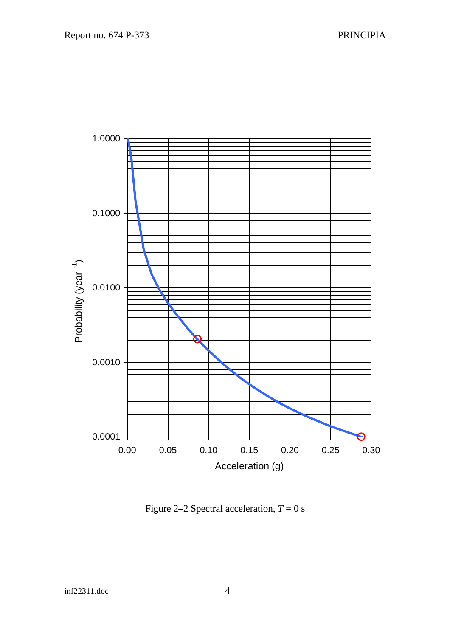<span id="page-7-0"></span>

<span id="page-7-1"></span>Figure 2–2 Spectral acceleration,  $T = 0$  s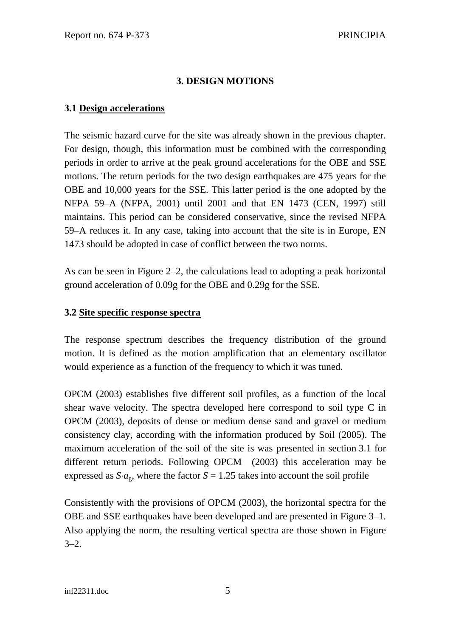#### **3. DESIGN MOTIONS**

#### <span id="page-8-1"></span><span id="page-8-0"></span>**3.1 Design accelerations**

The seismic hazard curve for the site was already shown in the previous chapter. For design, though, this information must be combined with the corresponding periods in order to arrive at the peak ground accelerations for the OBE and SSE motions. The return periods for the two design earthquakes are 475 years for the OBE and 10,000 years for the SSE. This latter period is the one adopted by the NFPA 59–A (NFPA, 2001) until 2001 and that EN 1473 (CEN, 1997) still maintains. This period can be considered conservative, since the revised NFPA 59–A reduces it. In any case, taking into account that the site is in Europe, EN 1473 should be adopted in case of conflict between the two norms.

As can be seen in [Figure 2–2,](#page-7-1) the calculations lead to adopting a peak horizontal ground acceleration of 0.09g for the OBE and 0.29g for the SSE.

#### **3.2 Site specific response spectra**

The response spectrum describes the frequency distribution of the ground motion. It is defined as the motion amplification that an elementary oscillator would experience as a function of the frequency to which it was tuned.

OPCM (2003) establishes five different soil profiles, as a function of the local shear wave velocity. The spectra developed here correspond to soil type C in OPCM (2003), deposits of dense or medium dense sand and gravel or medium consistency clay, according with the information produced by Soil (2005). The maximum acceleration of the soil of the site is was presented in section [3.1](#page-8-1) for different return periods. Following OPCM (2003) this acceleration may be expressed as  $S \cdot a_{\infty}$ , where the factor  $S = 1.25$  takes into account the soil profile

Consistently with the provisions of OPCM (2003), the horizontal spectra for the OBE and SSE earthquakes have been developed and are presented in [Figure 3–1.](#page-9-1) Also applying the norm, the resulting vertical spectra are those shown in [Figure](#page-10-1)   $3-2.$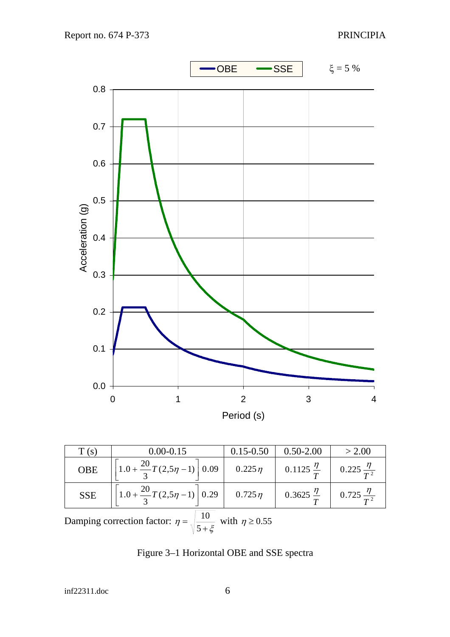<span id="page-9-0"></span>

| T(s)                                                                               | $0.00 - 0.15$                                                          | $0.15 - 0.50$ | $0.50 - 2.00$                                    | > 2.00                   |
|------------------------------------------------------------------------------------|------------------------------------------------------------------------|---------------|--------------------------------------------------|--------------------------|
| <b>OBE</b>                                                                         | $\left  \left[ 1.0 + \frac{20}{3} T(2.5\eta - 1) \right] 0.09 \right $ | $0.225\eta$   | 0.1125 $\frac{\eta}{T}$                          | 0.225 $\frac{\eta}{T^2}$ |
| <b>SSE</b>                                                                         | $\left  \left[ 1.0 + \frac{20}{3} T(2.5\eta - 1) \right] 0.29 \right $ | $0.725 \eta$  | $0.3625 \frac{\eta}{T}$ 0.725 $\frac{\eta}{T^2}$ |                          |
| Damping correction factor: $\eta = \sqrt{\frac{10}{5 + \xi}}$ with $\eta \ge 0.55$ |                                                                        |               |                                                  |                          |

<span id="page-9-1"></span>Figure 3–1 Horizontal OBE and SSE spectra

inf22311.doc 6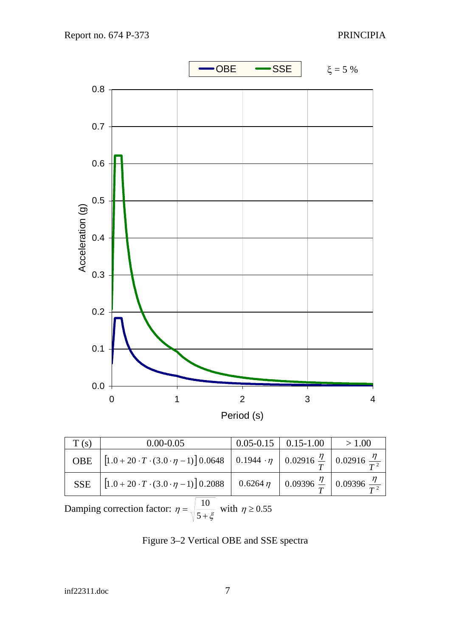<span id="page-10-0"></span>

| T(s)                                                                             | $0.00 - 0.05$                                                                                                                                    |  | $0.05 - 0.15$   0.15-1.00 | >1.00 |
|----------------------------------------------------------------------------------|--------------------------------------------------------------------------------------------------------------------------------------------------|--|---------------------------|-------|
| <b>OBE</b>                                                                       | $\left[1.0+20 \cdot T \cdot (3.0 \cdot \eta-1)\right]0.0648 \left[0.1944 \cdot \eta\right]0.02916 \frac{\eta}{T}\right]0.02916 \frac{\eta}{T^2}$ |  |                           |       |
| <b>SSE</b>                                                                       | $\left[1.0+20 \cdot T \cdot (3.0 \cdot \eta-1)\right]$ 0.2088 $\left[0.6264 \eta\right]$ 0.09396 $\frac{\eta}{T}$ 0.09396 $\frac{\eta}{T^2}$     |  |                           |       |
| Damping correction factor: $\eta = \sqrt{\frac{10}{5+\xi}}$ with $\eta \ge 0.55$ |                                                                                                                                                  |  |                           |       |

<span id="page-10-1"></span>Figure 3–2 Vertical OBE and SSE spectra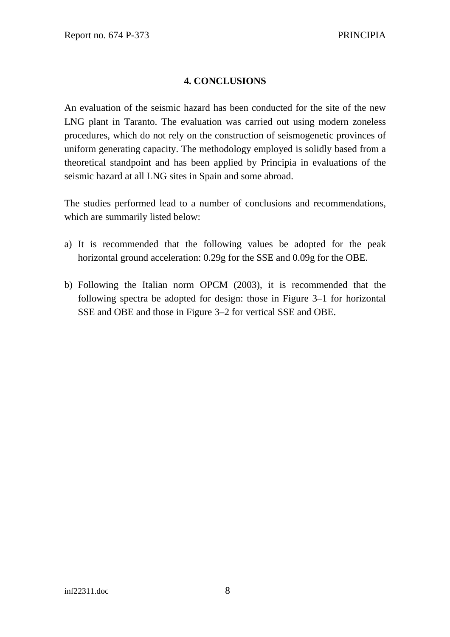#### **4. CONCLUSIONS**

<span id="page-11-0"></span>An evaluation of the seismic hazard has been conducted for the site of the new LNG plant in Taranto. The evaluation was carried out using modern zoneless procedures, which do not rely on the construction of seismogenetic provinces of uniform generating capacity. The methodology employed is solidly based from a theoretical standpoint and has been applied by Principia in evaluations of the seismic hazard at all LNG sites in Spain and some abroad.

The studies performed lead to a number of conclusions and recommendations, which are summarily listed below:

- a) It is recommended that the following values be adopted for the peak horizontal ground acceleration: 0.29g for the SSE and 0.09g for the OBE.
- b) Following the Italian norm OPCM (2003), it is recommended that the following spectra be adopted for design: those in [Figure 3–1](#page-9-1) for horizontal SSE and OBE and those in [Figure 3–2](#page-10-1) for vertical SSE and OBE.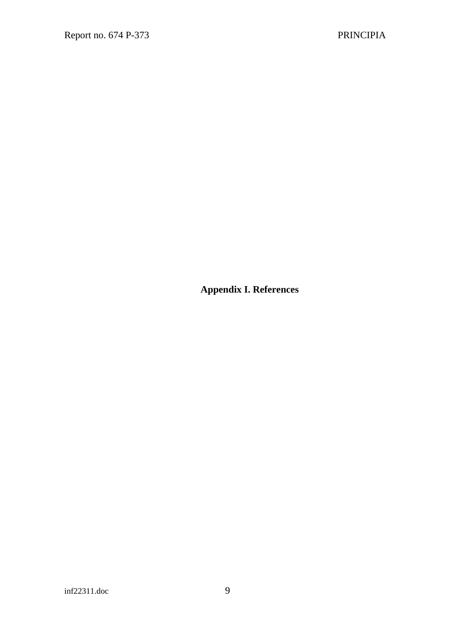<span id="page-12-0"></span>**Appendix I. References**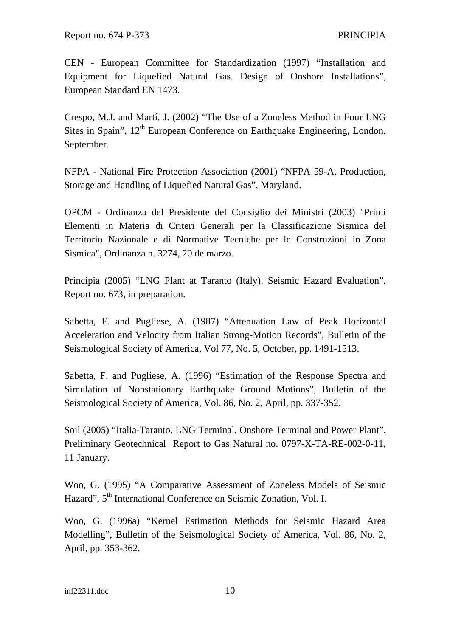CEN - European Committee for Standardization (1997) "Installation and Equipment for Liquefied Natural Gas. Design of Onshore Installations", European Standard EN 1473.

Crespo, M.J. and Martí, J. (2002) "The Use of a Zoneless Method in Four LNG Sites in Spain",  $12<sup>th</sup>$  European Conference on Earthquake Engineering, London, September.

NFPA - National Fire Protection Association (2001) "NFPA 59-A. Production, Storage and Handling of Liquefied Natural Gas", Maryland.

OPCM - Ordinanza del Presidente del Consiglio dei Ministri (2003) "Primi Elementi in Materia di Criteri Generali per la Classificazione Sismica del Territorio Nazionale e di Normative Tecniche per le Construzioni in Zona Sismica", Ordinanza n. 3274, 20 de marzo.

Principia (2005) "LNG Plant at Taranto (Italy). Seismic Hazard Evaluation", Report no. 673, in preparation.

Sabetta, F. and Pugliese, A. (1987) "Attenuation Law of Peak Horizontal Acceleration and Velocity from Italian Strong-Motion Records", Bulletin of the Seismological Society of America, Vol 77, No. 5, October, pp. 1491-1513.

Sabetta, F. and Pugliese, A. (1996) "Estimation of the Response Spectra and Simulation of Nonstationary Earthquake Ground Motions", Bulletin of the Seismological Society of America, Vol. 86, No. 2, April, pp. 337-352.

Soil (2005) "Italia-Taranto. LNG Terminal. Onshore Terminal and Power Plant", Preliminary Geotechnical Report to Gas Natural no. 0797-X-TA-RE-002-0-11, 11 January.

Woo, G. (1995) "A Comparative Assessment of Zoneless Models of Seismic Hazard", 5<sup>th</sup> International Conference on Seismic Zonation, Vol. I.

Woo, G. (1996a) "Kernel Estimation Methods for Seismic Hazard Area Modelling", Bulletin of the Seismological Society of America, Vol. 86, No. 2, April, pp. 353-362.